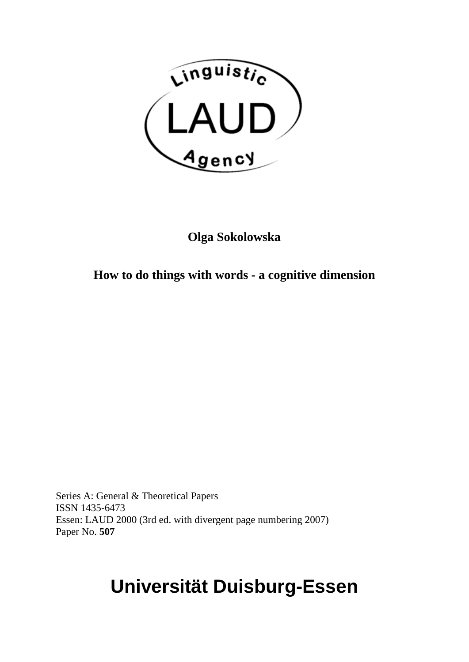

# **Olga Sokolowska**

# **How to do things with words - a cognitive dimension**

Series A: General & Theoretical Papers ISSN 1435-6473 Essen: LAUD 2000 (3rd ed. with divergent page numbering 2007) Paper No. **507**

# **Universität Duisburg-Essen**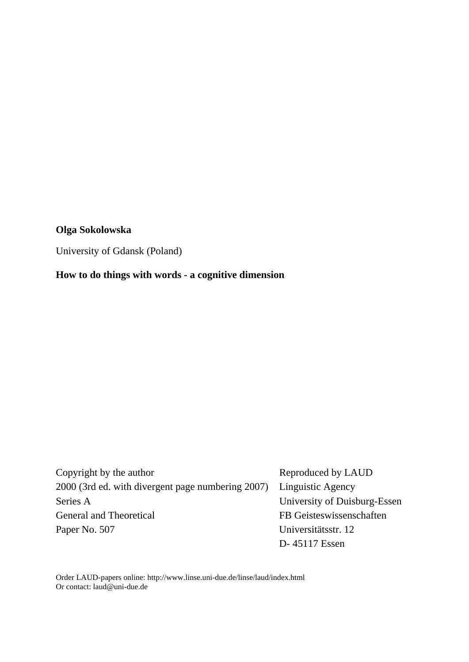#### **Olga Sokolowska**

University of Gdansk (Poland)

**How to do things with words - a cognitive dimension** 

Copyright by the author Reproduced by LAUD 2000 (3rd ed. with divergent page numbering 2007) Linguistic Agency Series A University of Duisburg-Essen General and Theoretical FB Geisteswissenschaften Paper No. 507 Universitätsstr. 12 D- 45117 Essen

Order LAUD-papers online: http://www.linse.uni-due.de/linse/laud/index.html Or contact: [laud@uni-due.de](mailto:laud@uni-duisburg-essen.de)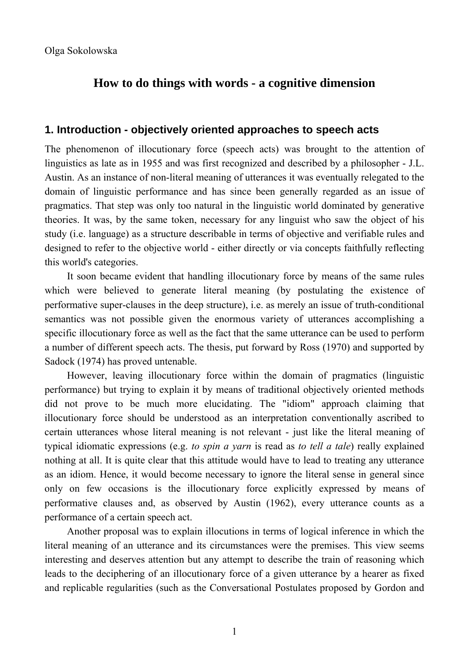Olga Sokolowska

# **How to do things with words - a cognitive dimension**

#### **1. Introduction - objectively oriented approaches to speech acts**

The phenomenon of illocutionary force (speech acts) was brought to the attention of linguistics as late as in 1955 and was first recognized and described by a philosopher - J.L. Austin. As an instance of non-literal meaning of utterances it was eventually relegated to the domain of linguistic performance and has since been generally regarded as an issue of pragmatics. That step was only too natural in the linguistic world dominated by generative theories. It was, by the same token, necessary for any linguist who saw the object of his study (i.e. language) as a structure describable in terms of objective and verifiable rules and designed to refer to the objective world - either directly or via concepts faithfully reflecting this world's categories.

It soon became evident that handling illocutionary force by means of the same rules which were believed to generate literal meaning (by postulating the existence of performative super-clauses in the deep structure), i.e. as merely an issue of truth-conditional semantics was not possible given the enormous variety of utterances accomplishing a specific illocutionary force as well as the fact that the same utterance can be used to perform a number of different speech acts. The thesis, put forward by Ross (1970) and supported by Sadock (1974) has proved untenable.

However, leaving illocutionary force within the domain of pragmatics (linguistic performance) but trying to explain it by means of traditional objectively oriented methods did not prove to be much more elucidating. The "idiom" approach claiming that illocutionary force should be understood as an interpretation conventionally ascribed to certain utterances whose literal meaning is not relevant - just like the literal meaning of typical idiomatic expressions (e.g. *to spin a yarn* is read as *to tell a tale*) really explained nothing at all. It is quite clear that this attitude would have to lead to treating any utterance as an idiom. Hence, it would become necessary to ignore the literal sense in general since only on few occasions is the illocutionary force explicitly expressed by means of performative clauses and, as observed by Austin (1962), every utterance counts as a performance of a certain speech act.

Another proposal was to explain illocutions in terms of logical inference in which the literal meaning of an utterance and its circumstances were the premises. This view seems interesting and deserves attention but any attempt to describe the train of reasoning which leads to the deciphering of an illocutionary force of a given utterance by a hearer as fixed and replicable regularities (such as the Conversational Postulates proposed by Gordon and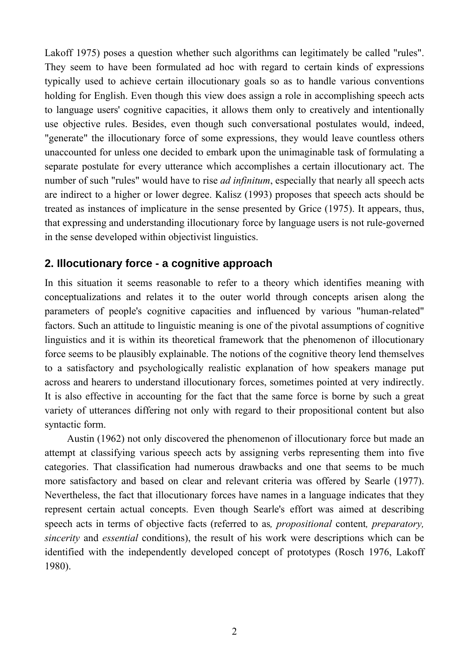Lakoff 1975) poses a question whether such algorithms can legitimately be called "rules". They seem to have been formulated ad hoc with regard to certain kinds of expressions typically used to achieve certain illocutionary goals so as to handle various conventions holding for English. Even though this view does assign a role in accomplishing speech acts to language users' cognitive capacities, it allows them only to creatively and intentionally use objective rules. Besides, even though such conversational postulates would, indeed, "generate" the illocutionary force of some expressions, they would leave countless others unaccounted for unless one decided to embark upon the unimaginable task of formulating a separate postulate for every utterance which accomplishes a certain illocutionary act. The number of such "rules" would have to rise *ad infinitum*, especially that nearly all speech acts are indirect to a higher or lower degree. Kalisz (1993) proposes that speech acts should be treated as instances of implicature in the sense presented by Grice (1975). It appears, thus, that expressing and understanding illocutionary force by language users is not rule-governed in the sense developed within objectivist linguistics.

## **2. Illocutionary force - a cognitive approach**

In this situation it seems reasonable to refer to a theory which identifies meaning with conceptualizations and relates it to the outer world through concepts arisen along the parameters of people's cognitive capacities and influenced by various "human-related" factors. Such an attitude to linguistic meaning is one of the pivotal assumptions of cognitive linguistics and it is within its theoretical framework that the phenomenon of illocutionary force seems to be plausibly explainable. The notions of the cognitive theory lend themselves to a satisfactory and psychologically realistic explanation of how speakers manage put across and hearers to understand illocutionary forces, sometimes pointed at very indirectly. It is also effective in accounting for the fact that the same force is borne by such a great variety of utterances differing not only with regard to their propositional content but also syntactic form.

Austin (1962) not only discovered the phenomenon of illocutionary force but made an attempt at classifying various speech acts by assigning verbs representing them into five categories. That classification had numerous drawbacks and one that seems to be much more satisfactory and based on clear and relevant criteria was offered by Searle (1977). Nevertheless, the fact that illocutionary forces have names in a language indicates that they represent certain actual concepts. Even though Searle's effort was aimed at describing speech acts in terms of objective facts (referred to as*, propositional* content*, preparatory, sincerity* and *essential* conditions), the result of his work were descriptions which can be identified with the independently developed concept of prototypes (Rosch 1976, Lakoff 1980).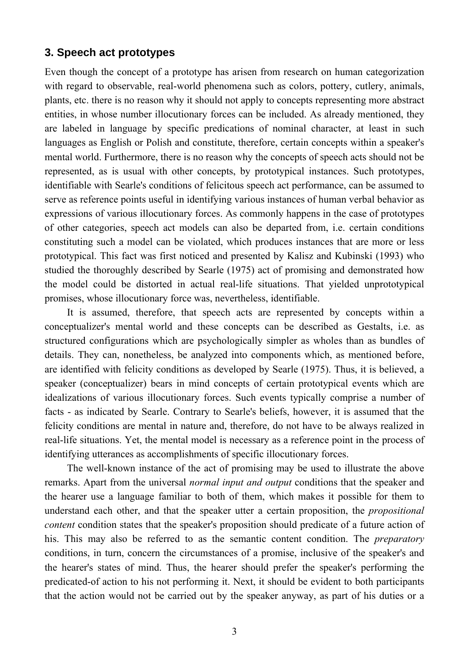#### **3. Speech act prototypes**

Even though the concept of a prototype has arisen from research on human categorization with regard to observable, real-world phenomena such as colors, pottery, cutlery, animals, plants, etc. there is no reason why it should not apply to concepts representing more abstract entities, in whose number illocutionary forces can be included. As already mentioned, they are labeled in language by specific predications of nominal character, at least in such languages as English or Polish and constitute, therefore, certain concepts within a speaker's mental world. Furthermore, there is no reason why the concepts of speech acts should not be represented, as is usual with other concepts, by prototypical instances. Such prototypes, identifiable with Searle's conditions of felicitous speech act performance, can be assumed to serve as reference points useful in identifying various instances of human verbal behavior as expressions of various illocutionary forces. As commonly happens in the case of prototypes of other categories, speech act models can also be departed from, i.e. certain conditions constituting such a model can be violated, which produces instances that are more or less prototypical. This fact was first noticed and presented by Kalisz and Kubinski (1993) who studied the thoroughly described by Searle (1975) act of promising and demonstrated how the model could be distorted in actual real-life situations. That yielded unprototypical promises, whose illocutionary force was, nevertheless, identifiable.

It is assumed, therefore, that speech acts are represented by concepts within a conceptualizer's mental world and these concepts can be described as Gestalts, i.e. as structured configurations which are psychologically simpler as wholes than as bundles of details. They can, nonetheless, be analyzed into components which, as mentioned before, are identified with felicity conditions as developed by Searle (1975). Thus, it is believed, a speaker (conceptualizer) bears in mind concepts of certain prototypical events which are idealizations of various illocutionary forces. Such events typically comprise a number of facts - as indicated by Searle. Contrary to Searle's beliefs, however, it is assumed that the felicity conditions are mental in nature and, therefore, do not have to be always realized in real-life situations. Yet, the mental model is necessary as a reference point in the process of identifying utterances as accomplishments of specific illocutionary forces.

The well-known instance of the act of promising may be used to illustrate the above remarks. Apart from the universal *normal input and output* conditions that the speaker and the hearer use a language familiar to both of them, which makes it possible for them to understand each other, and that the speaker utter a certain proposition, the *propositional content* condition states that the speaker's proposition should predicate of a future action of his. This may also be referred to as the semantic content condition. The *preparatory*  conditions, in turn, concern the circumstances of a promise, inclusive of the speaker's and the hearer's states of mind. Thus, the hearer should prefer the speaker's performing the predicated-of action to his not performing it. Next, it should be evident to both participants that the action would not be carried out by the speaker anyway, as part of his duties or a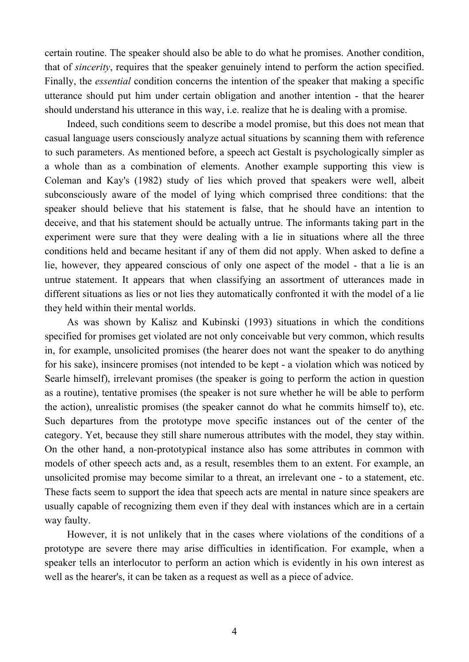certain routine. The speaker should also be able to do what he promises. Another condition, that of *sincerity*, requires that the speaker genuinely intend to perform the action specified. Finally, the *essential* condition concerns the intention of the speaker that making a specific utterance should put him under certain obligation and another intention - that the hearer should understand his utterance in this way, i.e. realize that he is dealing with a promise.

Indeed, such conditions seem to describe a model promise, but this does not mean that casual language users consciously analyze actual situations by scanning them with reference to such parameters. As mentioned before, a speech act Gestalt is psychologically simpler as a whole than as a combination of elements. Another example supporting this view is Coleman and Kay's (1982) study of lies which proved that speakers were well, albeit subconsciously aware of the model of lying which comprised three conditions: that the speaker should believe that his statement is false, that he should have an intention to deceive, and that his statement should be actually untrue. The informants taking part in the experiment were sure that they were dealing with a lie in situations where all the three conditions held and became hesitant if any of them did not apply. When asked to define a lie, however, they appeared conscious of only one aspect of the model - that a lie is an untrue statement. It appears that when classifying an assortment of utterances made in different situations as lies or not lies they automatically confronted it with the model of a lie they held within their mental worlds.

As was shown by Kalisz and Kubinski (1993) situations in which the conditions specified for promises get violated are not only conceivable but very common, which results in, for example, unsolicited promises (the hearer does not want the speaker to do anything for his sake), insincere promises (not intended to be kept - a violation which was noticed by Searle himself), irrelevant promises (the speaker is going to perform the action in question as a routine), tentative promises (the speaker is not sure whether he will be able to perform the action), unrealistic promises (the speaker cannot do what he commits himself to), etc. Such departures from the prototype move specific instances out of the center of the category. Yet, because they still share numerous attributes with the model, they stay within. On the other hand, a non-prototypical instance also has some attributes in common with models of other speech acts and, as a result, resembles them to an extent. For example, an unsolicited promise may become similar to a threat, an irrelevant one - to a statement, etc. These facts seem to support the idea that speech acts are mental in nature since speakers are usually capable of recognizing them even if they deal with instances which are in a certain way faulty.

However, it is not unlikely that in the cases where violations of the conditions of a prototype are severe there may arise difficulties in identification. For example, when a speaker tells an interlocutor to perform an action which is evidently in his own interest as well as the hearer's, it can be taken as a request as well as a piece of advice.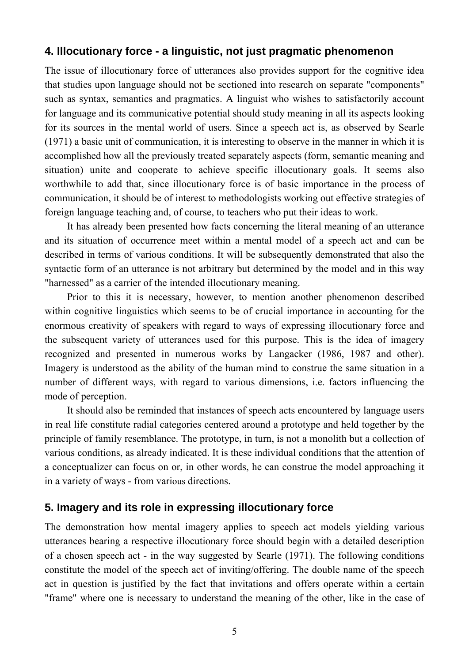## **4. Illocutionary force - a linguistic, not just pragmatic phenomenon**

The issue of illocutionary force of utterances also provides support for the cognitive idea that studies upon language should not be sectioned into research on separate "components" such as syntax, semantics and pragmatics. A linguist who wishes to satisfactorily account for language and its communicative potential should study meaning in all its aspects looking for its sources in the mental world of users. Since a speech act is, as observed by Searle (1971) a basic unit of communication, it is interesting to observe in the manner in which it is accomplished how all the previously treated separately aspects (form, semantic meaning and situation) unite and cooperate to achieve specific illocutionary goals. It seems also worthwhile to add that, since illocutionary force is of basic importance in the process of communication, it should be of interest to methodologists working out effective strategies of foreign language teaching and, of course, to teachers who put their ideas to work.

It has already been presented how facts concerning the literal meaning of an utterance and its situation of occurrence meet within a mental model of a speech act and can be described in terms of various conditions. It will be subsequently demonstrated that also the syntactic form of an utterance is not arbitrary but determined by the model and in this way "harnessed" as a carrier of the intended illocutionary meaning.

Prior to this it is necessary, however, to mention another phenomenon described within cognitive linguistics which seems to be of crucial importance in accounting for the enormous creativity of speakers with regard to ways of expressing illocutionary force and the subsequent variety of utterances used for this purpose. This is the idea of imagery recognized and presented in numerous works by Langacker (1986, 1987 and other). Imagery is understood as the ability of the human mind to construe the same situation in a number of different ways, with regard to various dimensions, i.e. factors influencing the mode of perception.

It should also be reminded that instances of speech acts encountered by language users in real life constitute radial categories centered around a prototype and held together by the principle of family resemblance. The prototype, in turn, is not a monolith but a collection of various conditions, as already indicated. It is these individual conditions that the attention of a conceptualizer can focus on or, in other words, he can construe the model approaching it in a variety of ways - from various directions.

## **5. Imagery and its role in expressing illocutionary force**

The demonstration how mental imagery applies to speech act models yielding various utterances bearing a respective illocutionary force should begin with a detailed description of a chosen speech act - in the way suggested by Searle (1971). The following conditions constitute the model of the speech act of inviting/offering. The double name of the speech act in question is justified by the fact that invitations and offers operate within a certain "frame" where one is necessary to understand the meaning of the other, like in the case of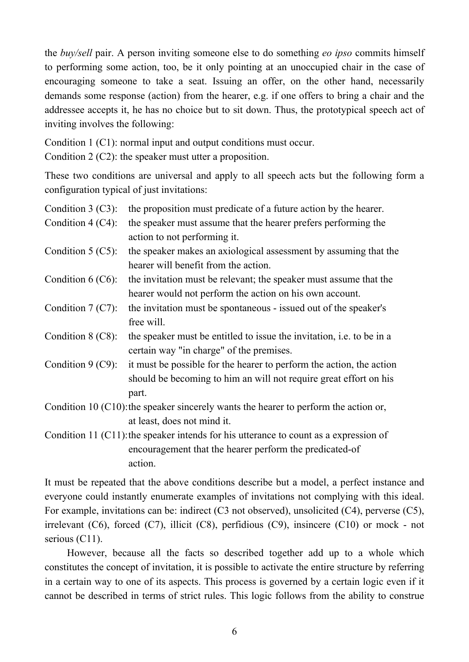the *buy/sell* pair. A person inviting someone else to do something *eo ipso* commits himself to performing some action, too, be it only pointing at an unoccupied chair in the case of encouraging someone to take a seat. Issuing an offer, on the other hand, necessarily demands some response (action) from the hearer, e.g. if one offers to bring a chair and the addressee accepts it, he has no choice but to sit down. Thus, the prototypical speech act of inviting involves the following:

Condition 1 (C1): normal input and output conditions must occur.

Condition 2 (C2): the speaker must utter a proposition.

These two conditions are universal and apply to all speech acts but the following form a configuration typical of just invitations:

| Condition $3$ (C3):                                                                     | the proposition must predicate of a future action by the hearer.             |
|-----------------------------------------------------------------------------------------|------------------------------------------------------------------------------|
| Condition $4$ (C4):                                                                     | the speaker must assume that the hearer prefers performing the               |
|                                                                                         | action to not performing it.                                                 |
| Condition $5 (C5)$ :                                                                    | the speaker makes an axiological assessment by assuming that the             |
|                                                                                         | hearer will benefit from the action.                                         |
| Condition $6$ (C6):                                                                     | the invitation must be relevant; the speaker must assume that the            |
|                                                                                         | hearer would not perform the action on his own account.                      |
| Condition $7 (C7)$ :                                                                    | the invitation must be spontaneous - issued out of the speaker's             |
|                                                                                         | free will.                                                                   |
| Condition $8$ (C8):                                                                     | the speaker must be entitled to issue the invitation, <i>i.e.</i> to be in a |
|                                                                                         | certain way "in charge" of the premises.                                     |
| Condition $9$ (C9):                                                                     | it must be possible for the hearer to perform the action, the action         |
|                                                                                         | should be becoming to him an will not require great effort on his            |
|                                                                                         | part.                                                                        |
| Condition 10 $(C10)$ : the speaker sincerely wants the hearer to perform the action or, |                                                                              |
|                                                                                         | at least, does not mind it.                                                  |

Condition 11 (C11): the speaker intends for his utterance to count as a expression of encouragement that the hearer perform the predicated-of action.

It must be repeated that the above conditions describe but a model, a perfect instance and everyone could instantly enumerate examples of invitations not complying with this ideal. For example, invitations can be: indirect (C3 not observed), unsolicited (C4), perverse (C5), irrelevant (C6), forced (C7), illicit (C8), perfidious (C9), insincere (C10) or mock - not serious (C11).

However, because all the facts so described together add up to a whole which constitutes the concept of invitation, it is possible to activate the entire structure by referring in a certain way to one of its aspects. This process is governed by a certain logic even if it cannot be described in terms of strict rules. This logic follows from the ability to construe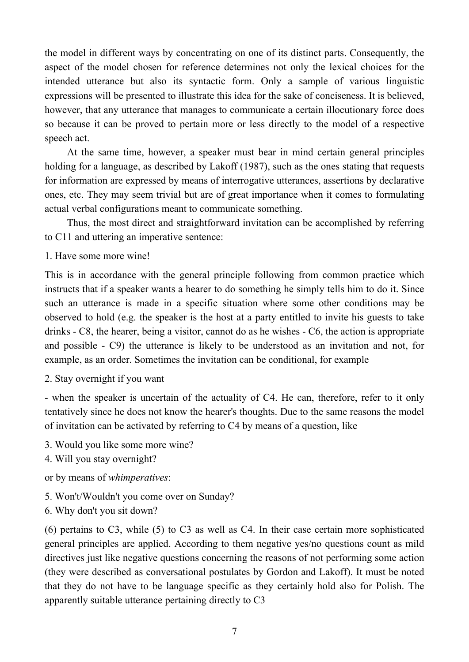the model in different ways by concentrating on one of its distinct parts. Consequently, the aspect of the model chosen for reference determines not only the lexical choices for the intended utterance but also its syntactic form. Only a sample of various linguistic expressions will be presented to illustrate this idea for the sake of conciseness. It is believed, however, that any utterance that manages to communicate a certain illocutionary force does so because it can be proved to pertain more or less directly to the model of a respective speech act.

At the same time, however, a speaker must bear in mind certain general principles holding for a language, as described by Lakoff (1987), such as the ones stating that requests for information are expressed by means of interrogative utterances, assertions by declarative ones, etc. They may seem trivial but are of great importance when it comes to formulating actual verbal configurations meant to communicate something.

Thus, the most direct and straightforward invitation can be accomplished by referring to C11 and uttering an imperative sentence:

1. Have some more wine!

This is in accordance with the general principle following from common practice which instructs that if a speaker wants a hearer to do something he simply tells him to do it. Since such an utterance is made in a specific situation where some other conditions may be observed to hold (e.g. the speaker is the host at a party entitled to invite his guests to take drinks - C8, the hearer, being a visitor, cannot do as he wishes - C6, the action is appropriate and possible - C9) the utterance is likely to be understood as an invitation and not, for example, as an order. Sometimes the invitation can be conditional, for example

2. Stay overnight if you want

- when the speaker is uncertain of the actuality of C4. He can, therefore, refer to it only tentatively since he does not know the hearer's thoughts. Due to the same reasons the model of invitation can be activated by referring to C4 by means of a question, like

- 3. Would you like some more wine?
- 4. Will you stay overnight?

or by means of *whimperatives*:

- 5. Won't/Wouldn't you come over on Sunday?
- 6. Why don't you sit down?

(6) pertains to C3, while (5) to C3 as well as C4. In their case certain more sophisticated general principles are applied. According to them negative yes/no questions count as mild directives just like negative questions concerning the reasons of not performing some action (they were described as conversational postulates by Gordon and Lakoff). It must be noted that they do not have to be language specific as they certainly hold also for Polish. The apparently suitable utterance pertaining directly to C3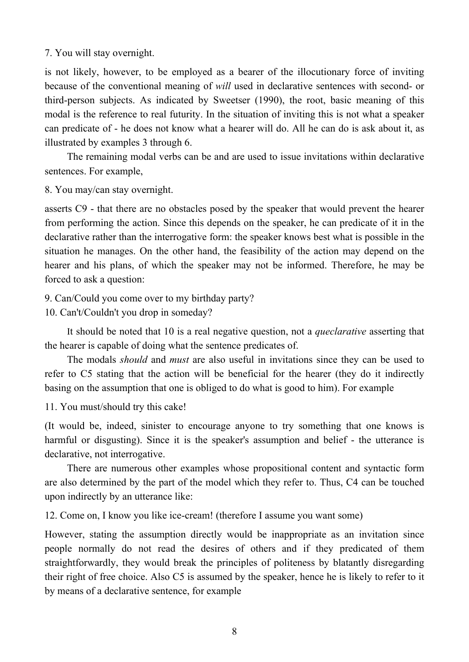#### 7. You will stay overnight.

is not likely, however, to be employed as a bearer of the illocutionary force of inviting because of the conventional meaning of *will* used in declarative sentences with second- or third-person subjects. As indicated by Sweetser (1990), the root, basic meaning of this modal is the reference to real futurity. In the situation of inviting this is not what a speaker can predicate of - he does not know what a hearer will do. All he can do is ask about it, as illustrated by examples 3 through 6.

The remaining modal verbs can be and are used to issue invitations within declarative sentences. For example,

8. You may/can stay overnight.

asserts C9 - that there are no obstacles posed by the speaker that would prevent the hearer from performing the action. Since this depends on the speaker, he can predicate of it in the declarative rather than the interrogative form: the speaker knows best what is possible in the situation he manages. On the other hand, the feasibility of the action may depend on the hearer and his plans, of which the speaker may not be informed. Therefore, he may be forced to ask a question:

9. Can/Could you come over to my birthday party?

10. Can't/Couldn't you drop in someday?

It should be noted that 10 is a real negative question, not a *queclarative* asserting that the hearer is capable of doing what the sentence predicates of.

The modals *should* and *must* are also useful in invitations since they can be used to refer to C5 stating that the action will be beneficial for the hearer (they do it indirectly basing on the assumption that one is obliged to do what is good to him). For example

11. You must/should try this cake!

(It would be, indeed, sinister to encourage anyone to try something that one knows is harmful or disgusting). Since it is the speaker's assumption and belief - the utterance is declarative, not interrogative.

There are numerous other examples whose propositional content and syntactic form are also determined by the part of the model which they refer to. Thus, C4 can be touched upon indirectly by an utterance like:

12. Come on, I know you like ice-cream! (therefore I assume you want some)

However, stating the assumption directly would be inappropriate as an invitation since people normally do not read the desires of others and if they predicated of them straightforwardly, they would break the principles of politeness by blatantly disregarding their right of free choice. Also C5 is assumed by the speaker, hence he is likely to refer to it by means of a declarative sentence, for example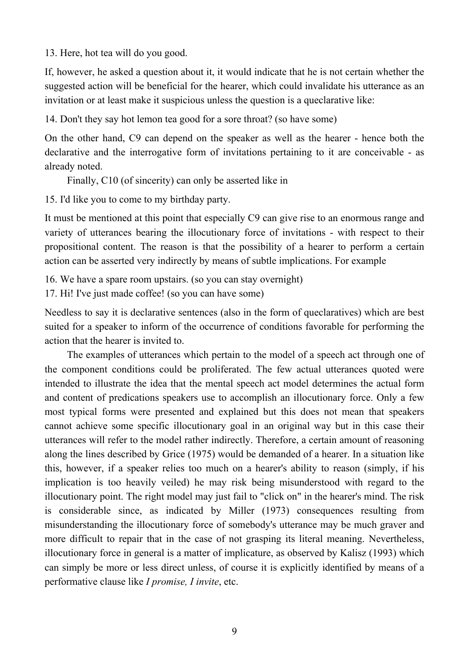13. Here, hot tea will do you good.

If, however, he asked a question about it, it would indicate that he is not certain whether the suggested action will be beneficial for the hearer, which could invalidate his utterance as an invitation or at least make it suspicious unless the question is a queclarative like:

14. Don't they say hot lemon tea good for a sore throat? (so have some)

On the other hand, C9 can depend on the speaker as well as the hearer - hence both the declarative and the interrogative form of invitations pertaining to it are conceivable - as already noted.

Finally, C10 (of sincerity) can only be asserted like in

15. I'd like you to come to my birthday party.

It must be mentioned at this point that especially C9 can give rise to an enormous range and variety of utterances bearing the illocutionary force of invitations - with respect to their propositional content. The reason is that the possibility of a hearer to perform a certain action can be asserted very indirectly by means of subtle implications. For example

16. We have a spare room upstairs. (so you can stay overnight)

17. Hi! I've just made coffee! (so you can have some)

Needless to say it is declarative sentences (also in the form of queclaratives) which are best suited for a speaker to inform of the occurrence of conditions favorable for performing the action that the hearer is invited to.

The examples of utterances which pertain to the model of a speech act through one of the component conditions could be proliferated. The few actual utterances quoted were intended to illustrate the idea that the mental speech act model determines the actual form and content of predications speakers use to accomplish an illocutionary force. Only a few most typical forms were presented and explained but this does not mean that speakers cannot achieve some specific illocutionary goal in an original way but in this case their utterances will refer to the model rather indirectly. Therefore, a certain amount of reasoning along the lines described by Grice (1975) would be demanded of a hearer. In a situation like this, however, if a speaker relies too much on a hearer's ability to reason (simply, if his implication is too heavily veiled) he may risk being misunderstood with regard to the illocutionary point. The right model may just fail to "click on" in the hearer's mind. The risk is considerable since, as indicated by Miller (1973) consequences resulting from misunderstanding the illocutionary force of somebody's utterance may be much graver and more difficult to repair that in the case of not grasping its literal meaning. Nevertheless, illocutionary force in general is a matter of implicature, as observed by Kalisz (1993) which can simply be more or less direct unless, of course it is explicitly identified by means of a performative clause like *I promise, I invite*, etc.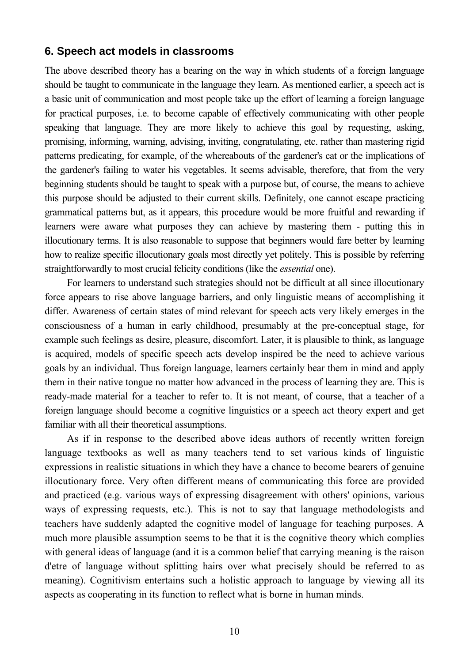#### **6. Speech act models in classrooms**

The above described theory has a bearing on the way in which students of a foreign language should be taught to communicate in the language they learn. As mentioned earlier, a speech act is a basic unit of communication and most people take up the effort of learning a foreign language for practical purposes, i.e. to become capable of effectively communicating with other people speaking that language. They are more likely to achieve this goal by requesting, asking, promising, informing, warning, advising, inviting, congratulating, etc. rather than mastering rigid patterns predicating, for example, of the whereabouts of the gardener's cat or the implications of the gardener's failing to water his vegetables. It seems advisable, therefore, that from the very beginning students should be taught to speak with a purpose but, of course, the means to achieve this purpose should be adjusted to their current skills. Definitely, one cannot escape practicing grammatical patterns but, as it appears, this procedure would be more fruitful and rewarding if learners were aware what purposes they can achieve by mastering them - putting this in illocutionary terms. It is also reasonable to suppose that beginners would fare better by learning how to realize specific illocutionary goals most directly yet politely. This is possible by referring straightforwardly to most crucial felicity conditions (like the *essential* one).

For learners to understand such strategies should not be difficult at all since illocutionary force appears to rise above language barriers, and only linguistic means of accomplishing it differ. Awareness of certain states of mind relevant for speech acts very likely emerges in the consciousness of a human in early childhood, presumably at the pre-conceptual stage, for example such feelings as desire, pleasure, discomfort. Later, it is plausible to think, as language is acquired, models of specific speech acts develop inspired be the need to achieve various goals by an individual. Thus foreign language, learners certainly bear them in mind and apply them in their native tongue no matter how advanced in the process of learning they are. This is ready-made material for a teacher to refer to. It is not meant, of course, that a teacher of a foreign language should become a cognitive linguistics or a speech act theory expert and get familiar with all their theoretical assumptions.

As if in response to the described above ideas authors of recently written foreign language textbooks as well as many teachers tend to set various kinds of linguistic expressions in realistic situations in which they have a chance to become bearers of genuine illocutionary force. Very often different means of communicating this force are provided and practiced (e.g. various ways of expressing disagreement with others' opinions, various ways of expressing requests, etc.). This is not to say that language methodologists and teachers have suddenly adapted the cognitive model of language for teaching purposes. A much more plausible assumption seems to be that it is the cognitive theory which complies with general ideas of language (and it is a common belief that carrying meaning is the raison d'etre of language without splitting hairs over what precisely should be referred to as meaning). Cognitivism entertains such a holistic approach to language by viewing all its aspects as cooperating in its function to reflect what is borne in human minds.